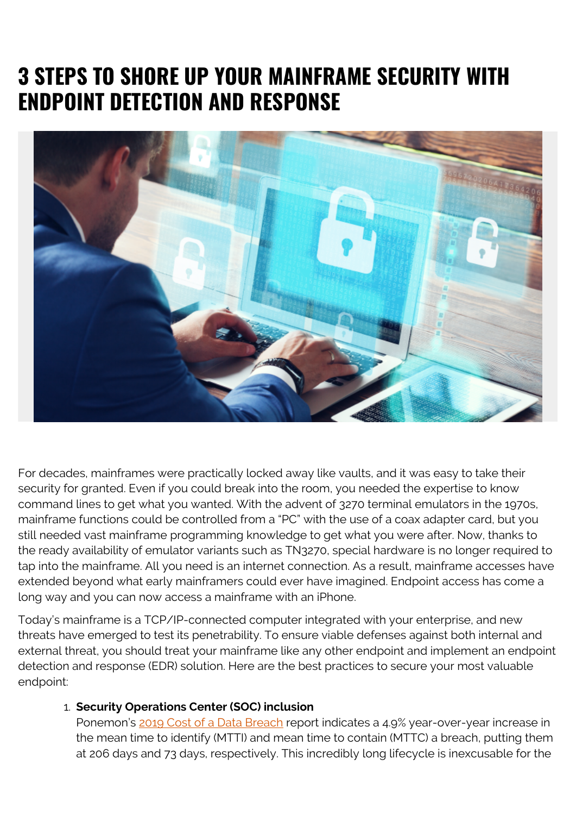## **3 STEPS TO SHORE UP YOUR MAINFRAME SECURITY WITH ENDPOINT DETECTION AND RESPONSE**



For decades, mainframes were practically locked away like vaults, and it was easy to take their security for granted. Even if you could break into the room, you needed the expertise to know command lines to get what you wanted. With the advent of 3270 terminal emulators in the 1970s, mainframe functions could be controlled from a "PC" with the use of a coax adapter card, but you still needed vast mainframe programming knowledge to get what you were after. Now, thanks to the ready availability of emulator variants such as TN3270, special hardware is no longer required to tap into the mainframe. All you need is an internet connection. As a result, mainframe accesses have extended beyond what early mainframers could ever have imagined. Endpoint access has come a long way and you can now access a mainframe with an iPhone.

Today's mainframe is a TCP/IP-connected computer integrated with your enterprise, and new threats have emerged to test its penetrability. To ensure viable defenses against both internal and external threat, you should treat your mainframe like any other endpoint and implement an endpoint detection and response (EDR) solution. Here are the best practices to secure your most valuable endpoint:

## 1. **Security Operations Center (SOC) inclusion**

Ponemon's [2019 Cost of a Data Breach](https://www.ibm.com/security/data-breach?cm_mmc=Search_Google-_-Security_Optimize+the+Security+Program-_-WW_NA-_-%2Bbreach%20of%20%2Bdata_b&cm_mmca1=000000NJ&cm_mmca2=10000253&cm_mmca7=9059223&cm_mmca8=aud-393899736125:kwd-295901324379&cm_mmca9=Cj0KCQjww7HsBRDkARIsAARsIT47b7DoMCtxwfM-h0yLwZk3qYx1pPYoSfsSTlunCnqcf_lo7VQmyrMaAs1xEALw_wcB&cm_mmca10=253508236796&cm_mmca11=b&gclid=Cj0KCQjww7HsBRDkARIsAARsIT47b7DoMCtxwfM-h0yLwZk3qYx1pPYoSfsSTlunCnqcf_lo7VQmyrMaAs1xEALw_wcB&gclsrc=aw.ds) report indicates a 4.9% year-over-year increase in the mean time to identify (MTTI) and mean time to contain (MTTC) a breach, putting them at 206 days and 73 days, respectively. This incredibly long lifecycle is inexcusable for the